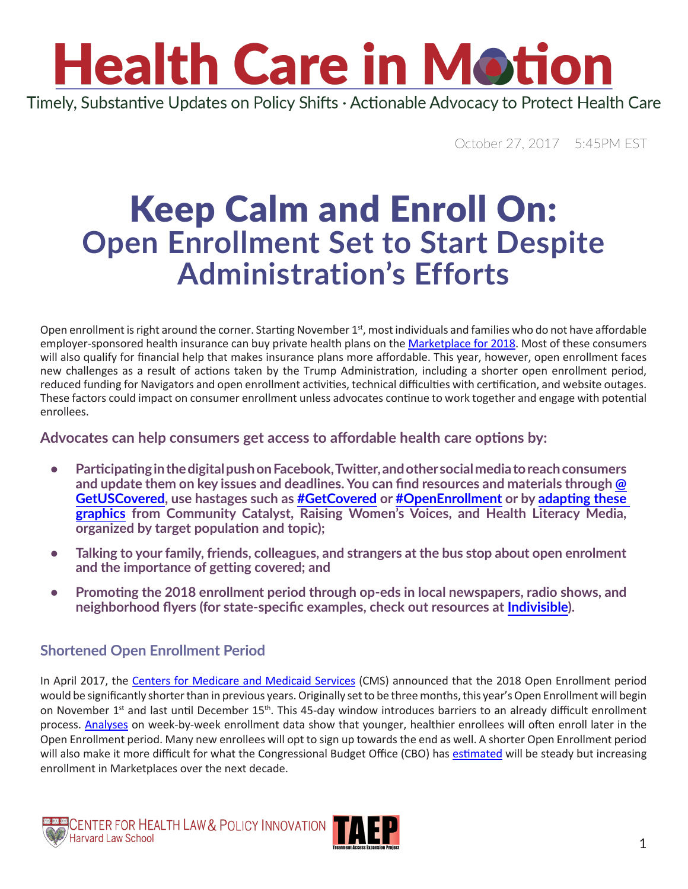### **Health Care in Motion** Timely, Substantive Updates on Policy Shifts · Actionable Advocacy to Protect Health Care

October 27, 2017 5:45PM EST

### Keep Calm and Enroll On: **Open Enrollment Set to Start Despite Administration's Efforts**

Open enrollment is right around the corner. Starting November  $1<sup>st</sup>$ , most individuals and families who do not have affordable employer-sponsored health insurance can buy private health plans on the [Marketplace for 2018.](https://www.healthcare.gov/) Most of these consumers will also qualify for financial help that makes insurance plans more affordable. This year, however, open enrollment faces new challenges as a result of actions taken by the Trump Administration, including a shorter open enrollment period, reduced funding for Navigators and open enrollment activities, technical difficulties with certification, and website outages. These factors could impact on consumer enrollment unless advocates continue to work together and engage with potential enrollees.

#### **Advocates can help consumers get access to affordable health care options by:**

- **• Participating in the digital push on Facebook, Twitter, and other social media to reach consumers and update them on key issues and deadlines. You can find resources and materials through [@](https://twitter.com/getuscovered?lang=en) [GetUSCovered](https://twitter.com/getuscovered?lang=en), use hastages such as #GetCovered or [#OpenEnrollment](https://twitter.com/hashtag/OpenEnrollment?src=hash&lang=en) or by [adapting these](https://drive.google.com/drive/folders/0Bz-OLHHuaIWaRDhPV0VYc3VZQlk)  [graphics](https://drive.google.com/drive/folders/0Bz-OLHHuaIWaRDhPV0VYc3VZQlk) from Community Catalyst, Raising Women's Voices, and Health Literacy Media, organized by target population and topic);**
- **Talking to your family, friends, colleagues, and strangers at the bus stop about open enrolment and the importance of getting covered; and**
- **Promoting the 2018 enrollment period through op-eds in local newspapers, radio shows, and neighborhood flyers (for state-specific examples, check out resources at [Indivisible\)](https://www.indivisible.org/resource/open-enrollment-organizing-toolkit/).**

### **Shortened Open Enrollment Period**

In April 2017, the [Centers for Medicare and Medicaid Services](https://www.cms.gov/CCIIO/Programs-and-Initiatives/Health-Insurance-Marketplaces/Downloads/2015_Navigator_Grantee_Summaries_FINAL_09-01-2015.pdf) (CMS) announced that the 2018 Open Enrollment period would be significantly shorter than in previous years. Originally set to be three months, this year's Open Enrollment will begin on November 1<sup>st</sup> and last until December 15<sup>th</sup>. This 45-day window introduces barriers to an already difficult enrollment process. [Analyses](http://www.healthaffairs.org/do/10.1377/hblog20170414.059663/full/) on week-by-week enrollment data show that younger, healthier enrollees will often enroll later in the Open Enrollment period. Many new enrollees will opt to sign up towards the end as well. A shorter Open Enrollment period will also make it more difficult for what the Congressional Budget Office (CBO) has [estimated](https://www.cbo.gov/system/files/115th-congress-2017-2018/reports/53091-fshic.pdf) will be steady but increasing enrollment in Marketplaces over the next decade.

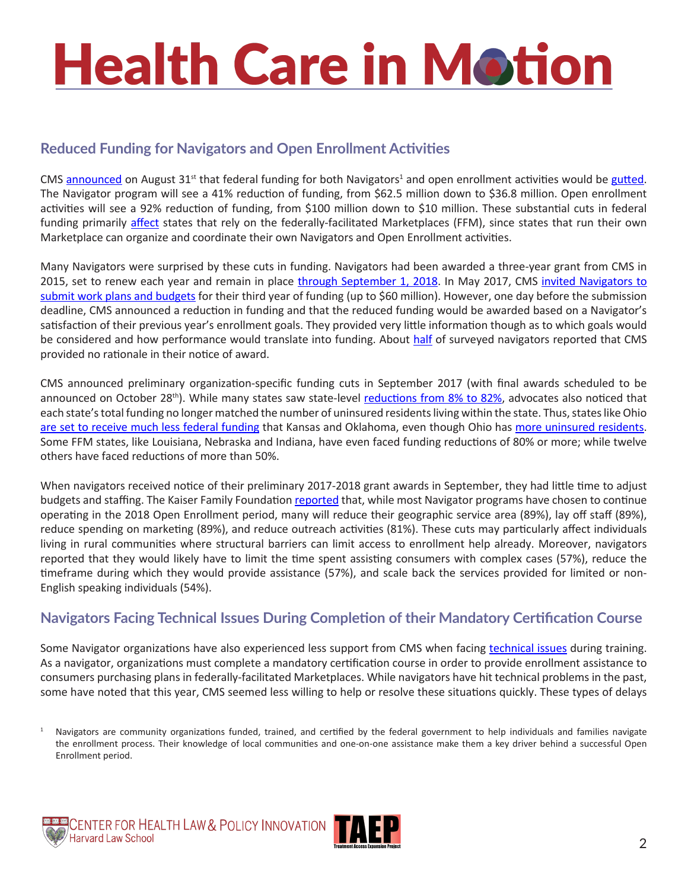# **Health Care in Motion**

### **Reduced Funding for Navigators and Open Enrollment Activities**

CMS [announced](https://www.cms.gov/Newsroom/MediaReleaseDatabase/Press-releases/2017-Press-releases-items/2017-08-31-3.html) on August 31<sup>st</sup> that federal funding for both Navigators<sup>1</sup> and open enrollment activities would be gutted. The Navigator program will see a 41% reduction of funding, from \$62.5 million down to \$36.8 million. Open enrollment activities will see a 92% reduction of funding, from \$100 million down to \$10 million. These substantial cuts in federal funding primarily [affect](https://www-politicopro-com.ezp-prod1.hul.harvard.edu/budget-appropriations-brief/story/2017/08/trump-administration-slashes-obamacare-outreach-161320) states that rely on the federally-facilitated Marketplaces (FFM), since states that run their own Marketplace can organize and coordinate their own Navigators and Open Enrollment activities.

Many Navigators were surprised by these cuts in funding. Navigators had been awarded a three-year grant from CMS in 2015, set to renew each year and remain in place [through September 1, 2018.](https://www.cms.gov/CCIIO/Programs-and-Initiatives/Health-Insurance-Marketplaces/Downloads/2015_Navigator_Grantee_Summaries_FINAL_09-01-2015.pdf) In May 2017, CMS invited Navigators to [submit work plans and budgets](https://www.kff.org/health-reform/issue-brief/data-note-changes-in-2017-federal-navigator-funding/) for their third year of funding (up to \$60 million). However, one day before the submission deadline, CMS announced a reduction in funding and that the reduced funding would be awarded based on a Navigator's satisfaction of their previous year's enrollment goals. They provided very little information though as to which goals would be considered and how performance would translate into funding. About [half](https://www.kff.org/health-reform/issue-brief/data-note-changes-in-2017-federal-navigator-funding/) of surveyed navigators reported that CMS provided no rationale in their notice of award.

CMS announced preliminary organization-specific funding cuts in September 2017 (with final awards scheduled to be announced on October 28<sup>th</sup>). While many states saw state-level [reductions from 8% to 82%,](https://www.kff.org/health-reform/issue-brief/data-note-changes-in-2017-federal-navigator-funding/?utm_campaign=KFF-2017-October-Health-Reform-ACA-Navigator&utm_source=hs_email&utm_medium=email&utm_content=57241501&_hsenc=p2ANqtz-9aawfH4R0CHkX6bK5cpPGHYbQ8GFglBXi80r39LJvZKmnY-TTgH4_WCpQEJmivc6Lq3V7nUJ2mAq9NmTnTM857OgRP5o67bkBa-n-PywTYy3_Zi68&_hsmi=57241501) advocates also noticed that each state's total funding no longer matched the number of uninsured residents living within the state. Thus, states like Ohio [are set to receive much less federal funding](https://www.kff.org/health-reform/issue-brief/data-note-changes-in-2017-federal-navigator-funding/?utm_campaign=KFF-2017-October-Health-Reform-ACA-Navigator&utm_source=hs_email&utm_medium=email&utm_content=57241501&_hsenc=p2ANqtz-9aawfH4R0CHkX6bK5cpPGHYbQ8GFglBXi80r39LJvZKmnY-TTgH4_WCpQEJmivc6Lq3V7nUJ2mAq9NmTnTM857OgRP5o67bkBa-n-PywTYy3_Zi68&_hsmi=57241501) that Kansas and Oklahoma, even though Ohio has [more uninsured residents](https://www.kff.org/other/state-indicator/total-population/?dataView=1¤tTimeframe=0&selectedDistributions=uninsured--total&sortModel=%7B%22colId%22:%22Uninsured%22,%22sort%22:%22desc%22%7D). Some FFM states, like Louisiana, Nebraska and Indiana, have even faced funding reductions of 80% or more; while twelve others have faced reductions of more than 50%.

When navigators received notice of their preliminary 2017-2018 grant awards in September, they had little time to adjust budgets and staffing. The Kaiser Family Foundation [reported](https://www.kff.org/health-reform/issue-brief/data-note-changes-in-2017-federal-navigator-funding/?utm_campaign=KFF-2017-October-Health-Reform-ACA-Navigator&utm_source=hs_email&utm_medium=email&utm_content=57241501&_hsenc=p2ANqtz-9aawfH4R0CHkX6bK5cpPGHYbQ8GFglBXi80r39LJvZKmnY-TTgH4_WCpQEJmivc6Lq3V7nUJ2mAq9NmTnTM857OgRP5o67bkBa-n-PywTYy3_Zi68&_hsmi=57241501) that, while most Navigator programs have chosen to continue operating in the 2018 Open Enrollment period, many will reduce their geographic service area (89%), lay off staff (89%), reduce spending on marketing (89%), and reduce outreach activities (81%). These cuts may particularly affect individuals living in rural communities where structural barriers can limit access to enrollment help already. Moreover, navigators reported that they would likely have to limit the time spent assisting consumers with complex cases (57%), reduce the timeframe during which they would provide assistance (57%), and scale back the services provided for limited or non-English speaking individuals (54%).

### **Navigators Facing Technical Issues During Completion of their Mandatory Certification Course**

Some Navigator organizations have also experienced less support from CMS when facing [technical issues](https://khn.org/news/latest-snag-in-aca-sign-ups-those-who-guide-consumers-are-hitting-roadblocks/?utm_campaign=KHN%3A Daily Health Policy Report&utm_source=hs_email&utm_medium=email&utm_content=56905618&_hsenc=p2ANqtz-8K_OTFeZiWmgO4x1kNiGIK8nH_Gk0C9q6lKCk1i8HexkQTK3PgQFeum-hbTS3bqkSbgFq36LxHqS-Lu6S97scTDeoo1fUXtpN9xB1UlnxY2esGeqM&_hsmi=56905618) during training. As a navigator, organizations must complete a mandatory certification course in order to provide enrollment assistance to consumers purchasing plans in federally-facilitated Marketplaces. While navigators have hit technical problems in the past, some have noted that this year, CMS seemed less willing to help or resolve these situations quickly. These types of delays





<sup>1</sup> Navigators are community organizations funded, trained, and certified by the federal government to help individuals and families navigate the enrollment process. Their knowledge of local communities and one-on-one assistance make them a key driver behind a successful Open Enrollment period.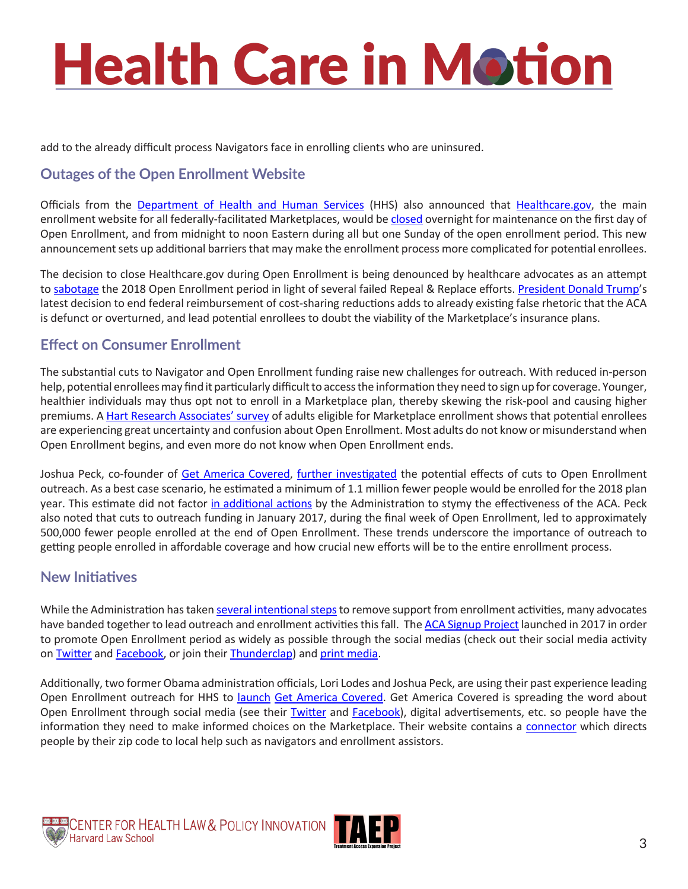## **Health Care in Motion**

add to the already difficult process Navigators face in enrolling clients who are uninsured.

### **Outages of the Open Enrollment Website**

Officials from the [Department of Health and Human Services](https://www.hhs.gov/about/contact-us/index.html) (HHS) also announced that [Healthcare.gov](https://www.healthcare.gov/), the main enrollment website for all federally-facilitated Marketplaces, would be [closed](https://khn.org/news/hhs-to-close-insurance-exchange-for-12-hours-on-sundays-during-enrollment/) overnight for maintenance on the first day of Open Enrollment, and from midnight to noon Eastern during all but one Sunday of the open enrollment period. This new announcement sets up additional barriers that may make the enrollment process more complicated for potential enrollees.

The decision to close Healthcare.gov during Open Enrollment is being denounced by healthcare advocates as an attempt to [sabotage](http://www.latimes.com/business/hiltzik/la-fi-hiltzik-trump-obamacare-20170901-story.html) the 2018 Open Enrollment period in light of several failed Repeal & Replace efforts. [President Donald Trump](https://www.whitehouse.gov/contact/write-or-call)'s latest decision to end federal reimbursement of cost-sharing reductions adds to already existing false rhetoric that the ACA is defunct or overturned, and lead potential enrollees to doubt the viability of the Marketplace's insurance plans.

#### **Effect on Consumer Enrollment**

The substantial cuts to Navigator and Open Enrollment funding raise new challenges for outreach. With reduced in-person help, potential enrollees may find it particularly difficult to access the information they need to sign up for coverage. Younger, healthier individuals may thus opt not to enroll in a Marketplace plan, thereby skewing the risk-pool and causing higher premiums. A [Hart Research Associates' survey](https://www.washingtonpost.com/r/2010-2019/WashingtonPost/2017/10/17/Editorial-Opinion/Graphics/ME-12240_(Press_Memo_10-16-17).pdf) of adults eligible for Marketplace enrollment shows that potential enrollees are experiencing great uncertainty and confusion about Open Enrollment. Most adults do not know or misunderstand when Open Enrollment begins, and even more do not know when Open Enrollment ends.

Joshua Peck, co-founder of [Get America Covered](https://getamericacovered.org/), [further investigated](https://medium.com/get-america-covered/trumps-ad-cuts-will-cost-a-minimum-of-1-1-million-obamacare-enrollments-9334f35c1626) the potential effects of cuts to Open Enrollment outreach. As a best case scenario, he estimated a minimum of 1.1 million fewer people would be enrolled for the 2018 plan year. This estimate did not factor [in additional actions](https://www.cbpp.org/sabotage-watch-tracking-efforts-to-undermine-the-aca) by the Administration to stymy the effectiveness of the ACA. Peck also noted that cuts to outreach funding in January 2017, during the final week of Open Enrollment, led to approximately 500,000 fewer people enrolled at the end of Open Enrollment. These trends underscore the importance of outreach to getting people enrolled in affordable coverage and how crucial new efforts will be to the entire enrollment process.

#### **New Initiatives**

While the Administration has taken [several intentional steps](https://www.theatlantic.com/health/archive/2017/09/changes-to-open-enrollment/541263/) to remove support from enrollment activities, many advocates have banded together to lead outreach and enrollment activities this fall. The [ACA Signup Project](http://acasignups.net/2018) launched in 2017 in order to promote Open Enrollment period as widely as possible through the social medias (check out their social media activity on [Twitter](https://twitter.com/2018ACASignup?lang=en) and [Facebook,](https://www.facebook.com/groups/153329925218556/) or join their [Thunderclap](https://www.thunderclap.it/projects/63565-open-enrollment-2018)) and [print media.](http://acasignups.net/2018)

Additionally, two former Obama administration officials, Lori Lodes and Joshua Peck, are using their past experience leading Open Enrollment outreach for HHS to [launch](http://thehill.com/policy/healthcare/353718-ex-obama-officials-launch-group-to-sign-people-up-for-obamacare?utm_campaign=KHN%3A First Edition&utm_source=hs_email&utm_medium=email&utm_content=56996283&_hsenc=p2ANqtz-_rxxL_BsFu84O_Yk_JkbF4A3VpUMHUxjjrXSm8uj-anUujrPD1sseaKtb5nMAKfyGAA-QdPYdZ4AkuCEKXopDhrWX2EWABR5-i4yilDn1nsp3MGTA&_hsmi=56996283) [Get America Covered](https://getamericacovered.org/). Get America Covered is spreading the word about Open Enrollment through social media (see their [Twitter](https://twitter.com/getuscovered?lang=en) and [Facebook](https://www.facebook.com/GetAmericaCovered/)), digital advertisements, etc. so people have the information they need to make informed choices on the Marketplace. Their website contains a [connector](https://connector.getcoveredamerica.org/en-us/widget/?original=/connector/) which directs people by their zip code to local help such as navigators and enrollment assistors.